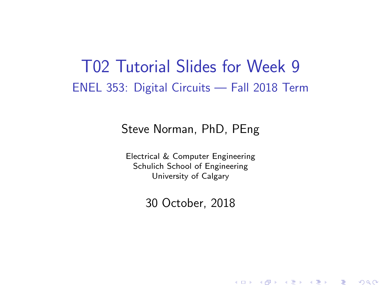### T02 Tutorial Slides for Week 9 ENEL 353: Digital Circuits — Fall 2018 Term

#### Steve Norman, PhD, PEng

Electrical & Computer Engineering Schulich School of Engineering University of Calgary

30 October, 2018

《 ロ 》 《 御 》 《 君 》 《 君 》 《 君

 $\Omega$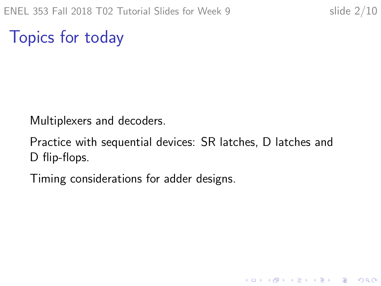K ロ ▶ K @ ▶ K 할 > K 할 > 1 할 > 1 이익어

Topics for today

Multiplexers and decoders.

Practice with sequential devices: SR latches, D latches and D flip-flops.

Timing considerations for adder designs.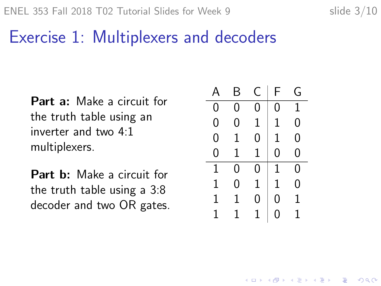# Exercise 1: Multiplexers and decoders

Part a: Make a circuit for the truth table using an inverter and two 4:1 multiplexers.

Part b: Make a circuit for the truth table using a 3:8 decoder and two OR gates.

| Ą | Β | C | F | G |
|---|---|---|---|---|
| 0 | 0 | 0 | 0 | 1 |
| 0 | 0 | 1 | 1 | 0 |
| 0 | 1 | 0 | 1 | 0 |
| 0 | 1 | 1 | 0 | 0 |
| 1 | 0 | Ω | 1 | 0 |
| 1 | 0 | 1 | 1 | 0 |
| 1 | 1 | 0 | 0 | 1 |
| 1 | 1 |   | 0 | 1 |

**KORK STRAIN A BAR SHOP**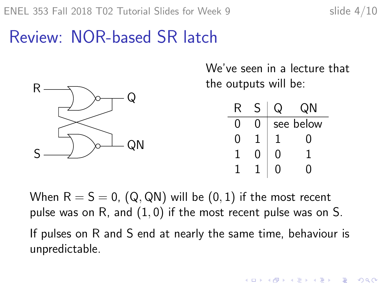# Review: NOR-based SR latch



We've seen in a lecture that the outputs will be:

| R            |   | QN        |
|--------------|---|-----------|
|              |   | see below |
| $\mathbf{I}$ |   | 0         |
|              | O |           |
|              |   |           |

When  $R = S = 0$ ,  $(Q, QN)$  will be  $(0, 1)$  if the most recent pulse was on R, and  $(1, 0)$  if the most recent pulse was on S.

If pulses on R and S end at nearly the same time, behaviour is unpredictable.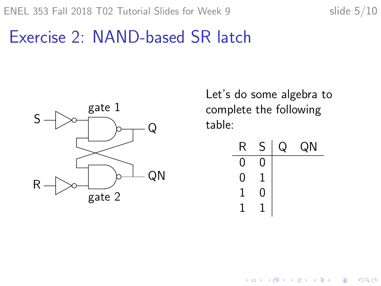## Exercise 2: NAND-based SR latch



Let's do some algebra to complete the following table:

| R | S | QN |
|---|---|----|
| 0 |   |    |
| 0 |   |    |
|   | 0 |    |
|   |   |    |

 $\mathbf{E} = \mathbf{A} \oplus \mathbf{B} + \mathbf{A} \oplus \mathbf{B} + \mathbf{A} \oplus \mathbf{B} + \mathbf{A} \oplus \mathbf{A}$ 

 $299$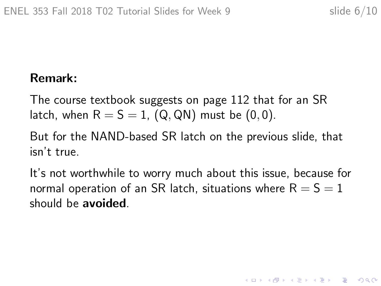K ロ ▶ K @ ▶ K 할 > K 할 > 1 할 > 1 이익어

### Remark:

The course textbook suggests on page 112 that for an SR latch, when  $R = S = 1$ , (Q, QN) must be  $(0, 0)$ .

But for the NAND-based SR latch on the previous slide, that isn't true.

It's not worthwhile to worry much about this issue, because for normal operation of an SR latch, situations where  $R = S = 1$ should be avoided.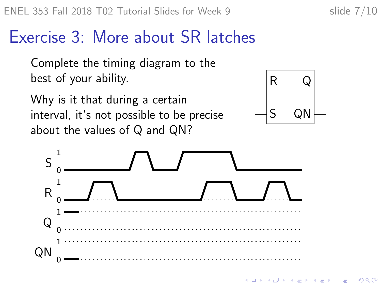### Exercise 3: More about SR latches

Complete the timing diagram to the best of your ability.

Why is it that during a certain interval, it's not possible to be precise about the values of Q and QN?





 $\mathbf{A} \equiv \mathbf{A} + \mathbf{A} + \mathbf{A} + \mathbf{A} + \mathbf{A} + \mathbf{A} + \mathbf{A} + \mathbf{A} + \mathbf{A} + \mathbf{A} + \mathbf{A} + \mathbf{A} + \mathbf{A} + \mathbf{A} + \mathbf{A} + \mathbf{A} + \mathbf{A} + \mathbf{A} + \mathbf{A} + \mathbf{A} + \mathbf{A} + \mathbf{A} + \mathbf{A} + \mathbf{A} + \mathbf{A} + \mathbf{A} + \mathbf{A} + \mathbf{A} + \mathbf{A} + \mathbf{A} + \math$  $000$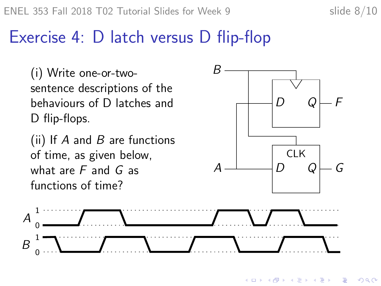## Exercise 4: D latch versus D flip-flop

(i) Write one-or-twosentence descriptions of the behaviours of D latches and D flip-flops.

(ii) If  $A$  and  $B$  are functions of time, as given below, what are  $F$  and  $G$  as functions of time?



イロト イ押 トイヨト イヨト

B

 $QQ$ 

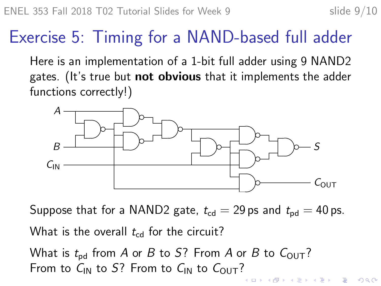# Exercise 5: Timing for a NAND-based full adder

Here is an implementation of a 1-bit full adder using 9 NAND2 gates. (It's true but **not obvious** that it implements the adder functions correctly!)



Suppose that for a NAND2 gate,  $t_{\text{cd}} = 29$  ps and  $t_{\text{pd}} = 40$  ps. What is the overall  $t_{\rm cd}$  for the circuit?

What is  $t_{\rm{nd}}$  from A or B to S? From A or B to  $C_{\rm{OUT}}$ ? From to  $C_{IN}$  to S? From to  $C_{IN}$  to  $C_{OUT}$ ?